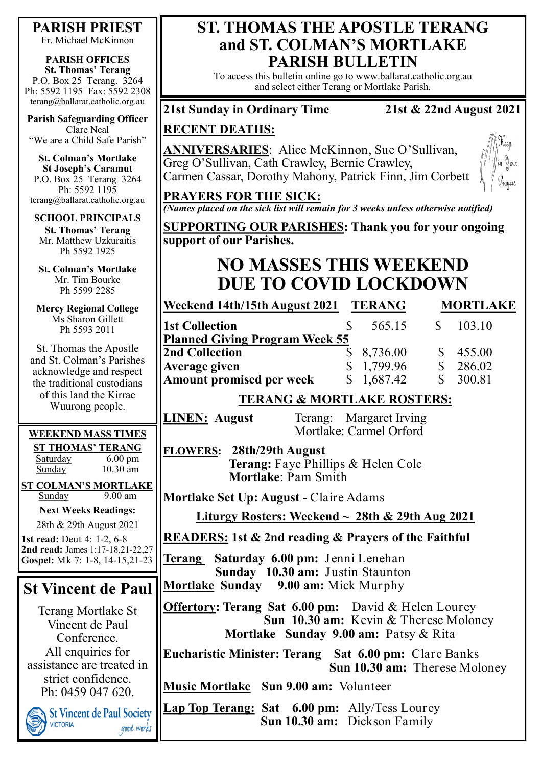## **PARISH PRIEST**

Fr. Michael McKinnon

### **PARISH OFFICES**

**St. Thomas' Terang** P.O. Box 25 Terang. 3264 Ph: 5592 1195 Fax: 5592 2308 terang@ballarat.catholic.org.au

**Parish Safeguarding Officer** Clare Neal "We are a Child Safe Parish"

**St. Colman's Mortlake St Joseph's Caramut** P.O. Box 25 Terang 3264 Ph: 5592 1195 terang@ballarat.catholic.org.au

### **SCHOOL PRINCIPALS**

**St. Thomas' Terang** Mr. Matthew Uzkuraitis Ph 5592 1925

**St. Colman's Mortlake** Mr. Tim Bourke Ph 5599 2285

**Mercy Regional College** Ms Sharon Gillett Ph 5593 2011

St. Thomas the Apostle and St. Colman's Parishes acknowledge and respect the traditional custodians of this land the Kirrae Wuurong people.

### **WEEKEND MASS TIMES**

**ST THOMAS' TERANG** Saturday 6.00 pm Sunday 10.30 am

**ST COLMAN'S MORTLAKE** Sunday 9.00 am **Next Weeks Readings:**

28th & 29th August 2021

**1st read:** Deut 4: 1-2, 6-8 **2nd read:** James 1:17-18,21-22,27 **Gospel:** Mk 7: 1-8, 14-15,21-23

# **St Vincent de Paul**

Terang Mortlake St Vincent de Paul Conference. All enquiries for assistance are treated in strict confidence. Ph: 0459 047 620.

**St Vincent de Paul Society VICTORIA** good works

## **ST. THOMAS THE APOSTLE TERANG and ST. COLMAN'S MORTLAKE PARISH BULLETIN**

To access this bulletin online go to www.ballarat.catholic.org.au and select either Terang or Mortlake Parish.

### **21st Sunday in Ordinary Time 21st & 22nd August 2021**

### **RECENT DEATHS:**

**ANNIVERSARIES**: Alice McKinnon, Sue O'Sullivan, Greg O'Sullivan, Cath Crawley, Bernie Crawley, Carmen Cassar, Dorothy Mahony, Patrick Finn, Jim Corbett



# **PRAYERS FOR THE SICK:**

*(Names placed on the sick list will remain for 3 weeks unless otherwise notified)*

**SUPPORTING OUR PARISHES: Thank you for your ongoing support of our Parishes.** 

# **NO MASSES THIS WEEKEND DUE TO COVID LOCKDOWN**

**Weekend 14th/15th August 2021 TERANG MORTLAKE 1st Collection 8 565.15 \$** 103.10 **Planned Giving Program Week 55 2nd Collection \$ 8,736.00 \$ 455.00 Average given** \$ 1,799.96 \$ 286.02 **Amount promised per week** \$ 1,687.42 \$ 300.81

## **TERANG & MORTLAKE ROSTERS:**

**LINEN: August** Terang: Margaret Irving Mortlake: Carmel Orford

**FLOWERS: 28th/29th August Terang:** Faye Phillips & Helen Cole **Mortlake**: Pam Smith

**Mortlake Set Up: August -** Claire Adams

### **Liturgy Rosters: Weekend ~ 28th & 29th Aug 2021**

**READERS: 1st & 2nd reading & Prayers of the Faithful**

**Terang Saturday 6.00 pm:** Jenni Lenehan  **Sunday 10.30 am:** Justin Staunton **Mortlake Sunday 9.00 am:** Mick Murphy

**Offertory: Terang Sat 6.00 pm:** David & Helen Lourey  **Sun 10.30 am:** Kevin & Therese Moloney  **Mortlake Sunday 9.00 am:** Patsy & Rita

**Eucharistic Minister: Terang Sat 6.00 pm:** Clare Banks  **Sun 10.30 am:** Therese Moloney

**Music Mortlake Sun 9.00 am:** Volunteer

**Lap Top Terang: Sat 6.00 pm:** Ally/Tess Lourey **Sun 10.30 am:** Dickson Family